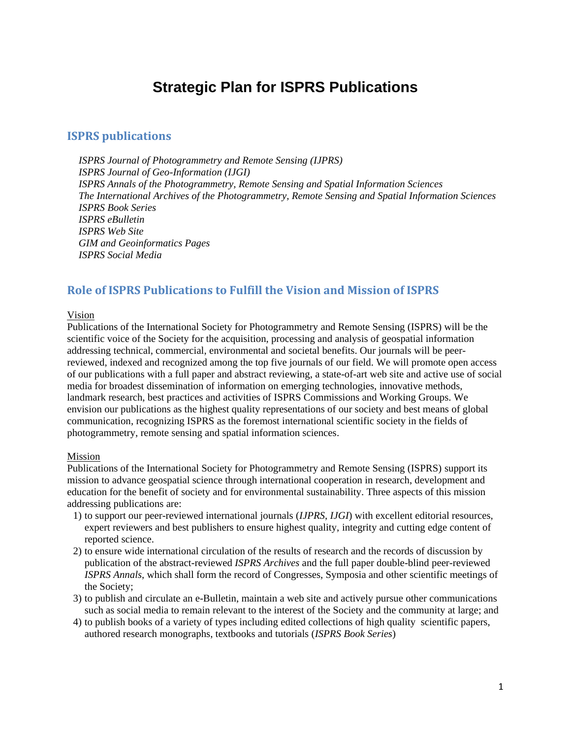# **Strategic Plan for ISPRS Publications**

## **ISPRS publications**

*ISPRS Journal of Photogrammetry and Remote Sensing (IJPRS) ISPRS Journal of Geo-Information (IJGI) ISPRS Annals of the Photogrammetry, Remote Sensing and Spatial Information Sciences The International Archives of the Photogrammetry, Remote Sensing and Spatial Information Sciences ISPRS Book Series ISPRS eBulletin ISPRS Web Site GIM and Geoinformatics Pages ISPRS Social Media*

## **Role of ISPRS Publications to Fulfill the Vision and Mission of ISPRS**

#### Vision

Publications of the International Society for Photogrammetry and Remote Sensing (ISPRS) will be the scientific voice of the Society for the acquisition, processing and analysis of geospatial information addressing technical, commercial, environmental and societal benefits. Our journals will be peerreviewed, indexed and recognized among the top five journals of our field. We will promote open access of our publications with a full paper and abstract reviewing, a state-of-art web site and active use of social media for broadest dissemination of information on emerging technologies, innovative methods, landmark research, best practices and activities of ISPRS Commissions and Working Groups. We envision our publications as the highest quality representations of our society and best means of global communication, recognizing ISPRS as the foremost international scientific society in the fields of photogrammetry, remote sensing and spatial information sciences.

#### Mission

Publications of the International Society for Photogrammetry and Remote Sensing (ISPRS) support its mission to advance geospatial science through international cooperation in research, development and education for the benefit of society and for environmental sustainability. Three aspects of this mission addressing publications are:

- 1) to support our peer-reviewed international journals (*IJPRS*, *IJGI*) with excellent editorial resources, expert reviewers and best publishers to ensure highest quality, integrity and cutting edge content of reported science.
- 2) to ensure wide international circulation of the results of research and the records of discussion by publication of the abstract-reviewed *ISPRS Archives* and the full paper double-blind peer-reviewed *ISPRS Annals*, which shall form the record of Congresses, Symposia and other scientific meetings of the Society;
- 3) to publish and circulate an e-Bulletin, maintain a web site and actively pursue other communications such as social media to remain relevant to the interest of the Society and the community at large; and
- 4) to publish books of a variety of types including edited collections of high quality scientific papers, authored research monographs, textbooks and tutorials (*ISPRS Book Series*)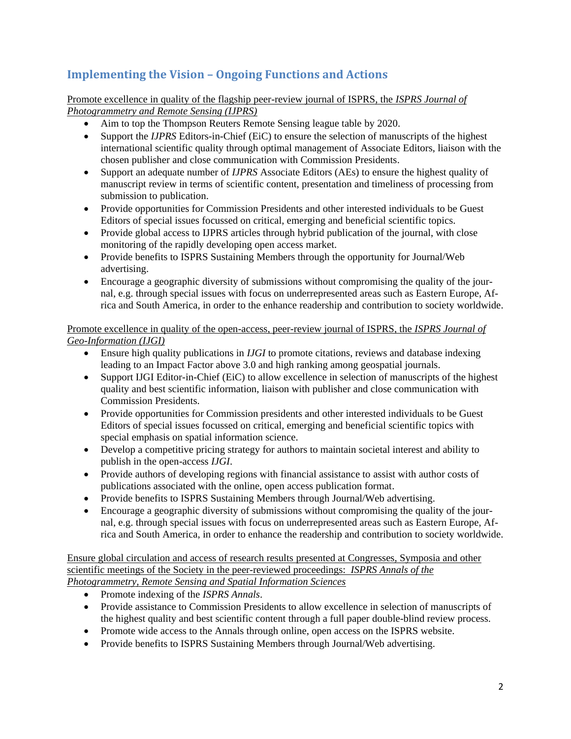## **Implementing the Vision – Ongoing Functions and Actions**

Promote excellence in quality of the flagship peer-review journal of ISPRS, the *ISPRS Journal of Photogrammetry and Remote Sensing (IJPRS)*

- Aim to top the Thompson Reuters Remote Sensing league table by 2020.
- Support the *IJPRS* Editors-in-Chief (EiC) to ensure the selection of manuscripts of the highest international scientific quality through optimal management of Associate Editors, liaison with the chosen publisher and close communication with Commission Presidents.
- Support an adequate number of *IJPRS* Associate Editors (AEs) to ensure the highest quality of manuscript review in terms of scientific content, presentation and timeliness of processing from submission to publication.
- Provide opportunities for Commission Presidents and other interested individuals to be Guest Editors of special issues focussed on critical, emerging and beneficial scientific topics.
- Provide global access to IJPRS articles through hybrid publication of the journal, with close monitoring of the rapidly developing open access market.
- Provide benefits to ISPRS Sustaining Members through the opportunity for Journal/Web advertising.
- Encourage a geographic diversity of submissions without compromising the quality of the journal, e.g. through special issues with focus on underrepresented areas such as Eastern Europe, Africa and South America, in order to the enhance readership and contribution to society worldwide.

Promote excellence in quality of the open-access, peer-review journal of ISPRS, the *ISPRS Journal of Geo-Information (IJGI)*

- Ensure high quality publications in *IJGI* to promote citations, reviews and database indexing leading to an Impact Factor above 3.0 and high ranking among geospatial journals.
- Support IJGI Editor-in-Chief (EiC) to allow excellence in selection of manuscripts of the highest quality and best scientific information, liaison with publisher and close communication with Commission Presidents.
- Provide opportunities for Commission presidents and other interested individuals to be Guest Editors of special issues focussed on critical, emerging and beneficial scientific topics with special emphasis on spatial information science.
- Develop a competitive pricing strategy for authors to maintain societal interest and ability to publish in the open-access *IJGI*.
- Provide authors of developing regions with financial assistance to assist with author costs of publications associated with the online, open access publication format.
- Provide benefits to ISPRS Sustaining Members through Journal/Web advertising.
- Encourage a geographic diversity of submissions without compromising the quality of the journal, e.g. through special issues with focus on underrepresented areas such as Eastern Europe, Africa and South America, in order to enhance the readership and contribution to society worldwide.

Ensure global circulation and access of research results presented at Congresses, Symposia and other scientific meetings of the Society in the peer-reviewed proceedings: *ISPRS Annals of the Photogrammetry, Remote Sensing and Spatial Information Sciences*

- Promote indexing of the *ISPRS Annals*.
- Provide assistance to Commission Presidents to allow excellence in selection of manuscripts of the highest quality and best scientific content through a full paper double-blind review process.
- Promote wide access to the Annals through online, open access on the ISPRS website.
- Provide benefits to ISPRS Sustaining Members through Journal/Web advertising.